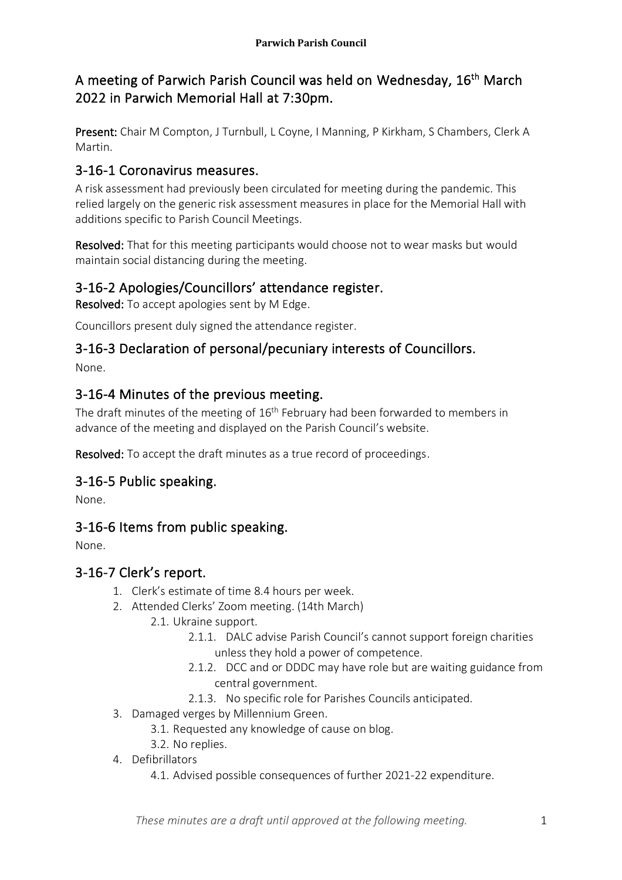# A meeting of Parwich Parish Council was held on Wednesday, 16<sup>th</sup> March 2022 in Parwich Memorial Hall at 7:30pm.

Present: Chair M Compton, J Turnbull, L Coyne, I Manning, P Kirkham, S Chambers, Clerk A Martin.

# 3-16-1 Coronavirus measures.

A risk assessment had previously been circulated for meeting during the pandemic. This relied largely on the generic risk assessment measures in place for the Memorial Hall with additions specific to Parish Council Meetings.

Resolved: That for this meeting participants would choose not to wear masks but would maintain social distancing during the meeting.

# 3-16-2 Apologies/Councillors' attendance register.

Resolved: To accept apologies sent by M Edge.

Councillors present duly signed the attendance register.

#### 3-16-3 Declaration of personal/pecuniary interests of Councillors. None.

# 3-16-4 Minutes of the previous meeting.

The draft minutes of the meeting of 16<sup>th</sup> February had been forwarded to members in advance of the meeting and displayed on the Parish Council's website.

Resolved: To accept the draft minutes as a true record of proceedings.

## 3-16-5 Public speaking.

None.

# 3-16-6 Items from public speaking.

None.

## 3-16-7 Clerk's report.

- 1. Clerk's estimate of time 8.4 hours per week.
- 2. Attended Clerks' Zoom meeting. (14th March)
	- 2.1. Ukraine support.
		- 2.1.1. DALC advise Parish Council's cannot support foreign charities unless they hold a power of competence.
		- 2.1.2. DCC and or DDDC may have role but are waiting guidance from central government.
		- 2.1.3. No specific role for Parishes Councils anticipated.
- 3. Damaged verges by Millennium Green.
	- 3.1. Requested any knowledge of cause on blog.
	- 3.2. No replies.
- 4. Defibrillators
	- 4.1. Advised possible consequences of further 2021-22 expenditure.

*These minutes are a draft until approved at the following meeting.*  $1$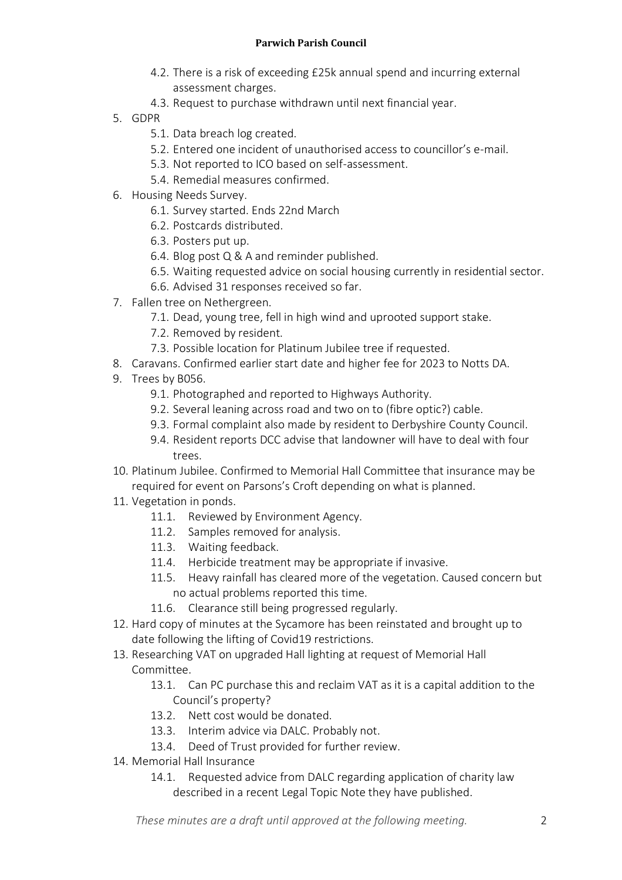#### **Parwich Parish Council**

- 4.2. There is a risk of exceeding £25k annual spend and incurring external assessment charges.
- 4.3. Request to purchase withdrawn until next financial year.
- 5. GDPR
	- 5.1. Data breach log created.
	- 5.2. Entered one incident of unauthorised access to councillor's e-mail.
	- 5.3. Not reported to ICO based on self-assessment.
	- 5.4. Remedial measures confirmed.
- 6. Housing Needs Survey.
	- 6.1. Survey started. Ends 22nd March
	- 6.2. Postcards distributed.
	- 6.3. Posters put up.
	- 6.4. Blog post Q & A and reminder published.
	- 6.5. Waiting requested advice on social housing currently in residential sector.
	- 6.6. Advised 31 responses received so far.
- 7. Fallen tree on Nethergreen.
	- 7.1. Dead, young tree, fell in high wind and uprooted support stake.
	- 7.2. Removed by resident.
	- 7.3. Possible location for Platinum Jubilee tree if requested.
- 8. Caravans. Confirmed earlier start date and higher fee for 2023 to Notts DA.
- 9. Trees by B056.
	- 9.1. Photographed and reported to Highways Authority.
	- 9.2. Several leaning across road and two on to (fibre optic?) cable.
	- 9.3. Formal complaint also made by resident to Derbyshire County Council.
	- 9.4. Resident reports DCC advise that landowner will have to deal with four trees.
- 10. Platinum Jubilee. Confirmed to Memorial Hall Committee that insurance may be required for event on Parsons's Croft depending on what is planned.
- 11. Vegetation in ponds.
	- 11.1. Reviewed by Environment Agency.
	- 11.2. Samples removed for analysis.
	- 11.3. Waiting feedback.
	- 11.4. Herbicide treatment may be appropriate if invasive.
	- 11.5. Heavy rainfall has cleared more of the vegetation. Caused concern but no actual problems reported this time.
	- 11.6. Clearance still being progressed regularly.
- 12. Hard copy of minutes at the Sycamore has been reinstated and brought up to date following the lifting of Covid19 restrictions.
- 13. Researching VAT on upgraded Hall lighting at request of Memorial Hall Committee.
	- 13.1. Can PC purchase this and reclaim VAT as it is a capital addition to the Council's property?
	- 13.2. Nett cost would be donated.
	- 13.3. Interim advice via DALC. Probably not.
	- 13.4. Deed of Trust provided for further review.
- 14. Memorial Hall Insurance
	- 14.1. Requested advice from DALC regarding application of charity law described in a recent Legal Topic Note they have published.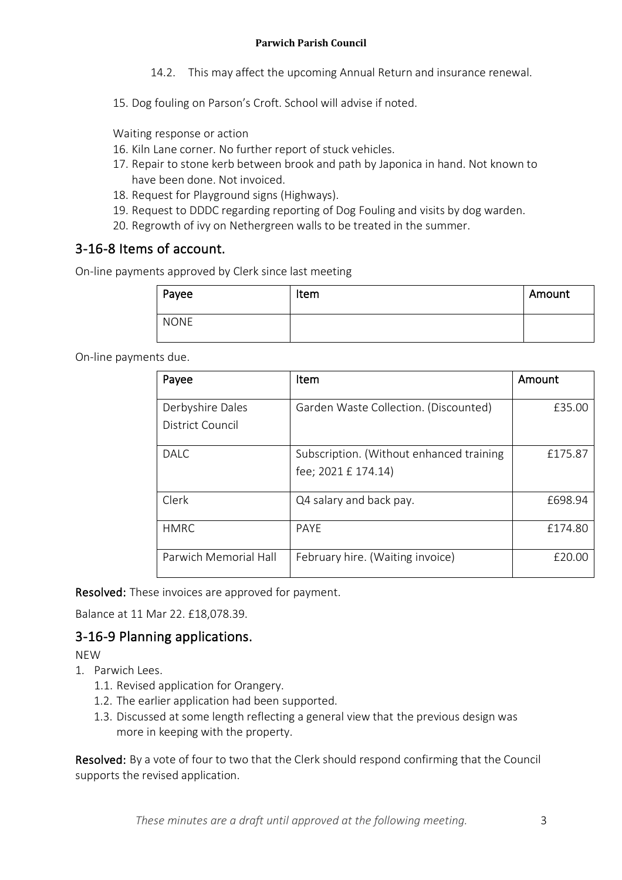- 14.2. This may affect the upcoming Annual Return and insurance renewal.
- 15. Dog fouling on Parson's Croft. School will advise if noted.

Waiting response or action

- 16. Kiln Lane corner. No further report of stuck vehicles.
- 17. Repair to stone kerb between brook and path by Japonica in hand. Not known to have been done. Not invoiced.
- 18. Request for Playground signs (Highways).
- 19. Request to DDDC regarding reporting of Dog Fouling and visits by dog warden.
- 20. Regrowth of ivy on Nethergreen walls to be treated in the summer.

#### 3-16-8 Items of account.

On-line payments approved by Clerk since last meeting

| Payee       | Item | Amount |
|-------------|------|--------|
| <b>NONE</b> |      |        |

On-line payments due.

| Payee                                | Item                                                            | Amount  |
|--------------------------------------|-----------------------------------------------------------------|---------|
| Derbyshire Dales<br>District Council | Garden Waste Collection. (Discounted)                           | £35.00  |
| DALC.                                | Subscription. (Without enhanced training<br>fee; 2021 £ 174.14) | £175.87 |
| Clerk                                | Q4 salary and back pay.                                         | £698.94 |
| <b>HMRC</b>                          | <b>PAYF</b>                                                     | £174.80 |
| Parwich Memorial Hall                | February hire. (Waiting invoice)                                | £20.00  |

Resolved: These invoices are approved for payment.

Balance at 11 Mar 22. £18,078.39.

#### 3-16-9 Planning applications.

**NFW** 

- 1. Parwich Lees.
	- 1.1. Revised application for Orangery.
	- 1.2. The earlier application had been supported.
	- 1.3. Discussed at some length reflecting a general view that the previous design was more in keeping with the property.

Resolved: By a vote of four to two that the Clerk should respond confirming that the Council supports the revised application.

*These minutes are a draft until approved at the following meeting.* 3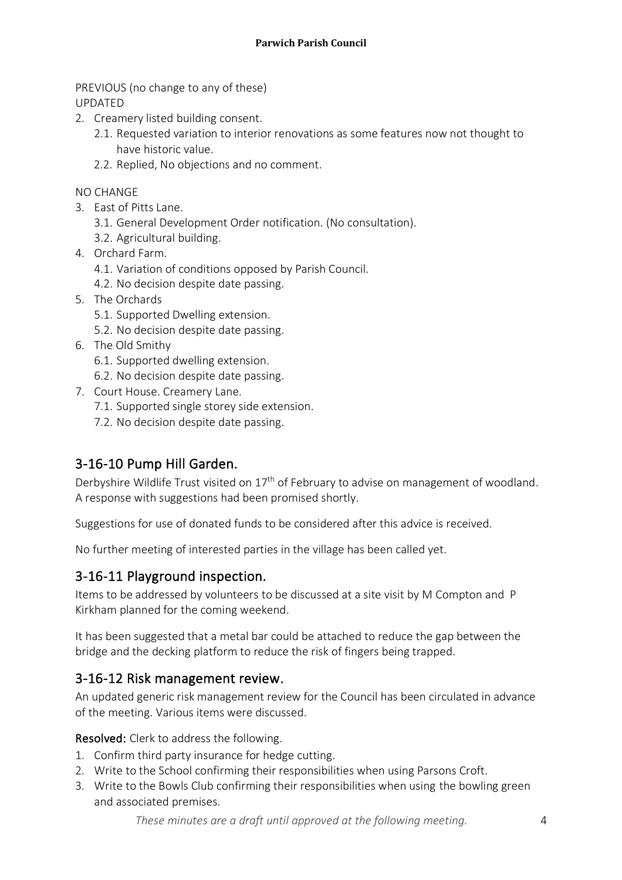PREVIOUS (no change to any of these) UPDATED

- 2. Creamery listed building consent.
	- 2.1. Requested variation to interior renovations as some features now not thought to have historic value.
	- 2.2. Replied, No objections and no comment.

NO CHANGE

- 3. East of Pitts Lane.
	- 3.1. General Development Order notification. (No consultation).
	- 3.2. Agricultural building.
- 4. Orchard Farm.
	- 4.1. Variation of conditions opposed by Parish Council.
	- 4.2. No decision despite date passing.
- 5. The Orchards
	- 5.1. Supported Dwelling extension.
	- 5.2. No decision despite date passing.
- 6. The Old Smithy
	- 6.1. Supported dwelling extension.
	- 6.2. No decision despite date passing.
- 7. Court House. Creamery Lane.
	- 7.1. Supported single storey side extension.
	- 7.2. No decision despite date passing.

## 3-16-10 Pump Hill Garden.

Derbyshire Wildlife Trust visited on 17<sup>th</sup> of February to advise on management of woodland. A response with suggestions had been promised shortly.

Suggestions for use of donated funds to be considered after this advice is received.

No further meeting of interested parties in the village has been called yet.

## 3-16-11 Playground inspection.

Items to be addressed by volunteers to be discussed at a site visit by M Compton and P Kirkham planned for the coming weekend.

It has been suggested that a metal bar could be attached to reduce the gap between the bridge and the decking platform to reduce the risk of fingers being trapped.

#### 3-16-12 Risk management review.

An updated generic risk management review for the Council has been circulated in advance of the meeting. Various items were discussed.

Resolved: Clerk to address the following.

- 1. Confirm third party insurance for hedge cutting.
- 2. Write to the School confirming their responsibilities when using Parsons Croft.
- 3. Write to the Bowls Club confirming their responsibilities when using the bowling green and associated premises.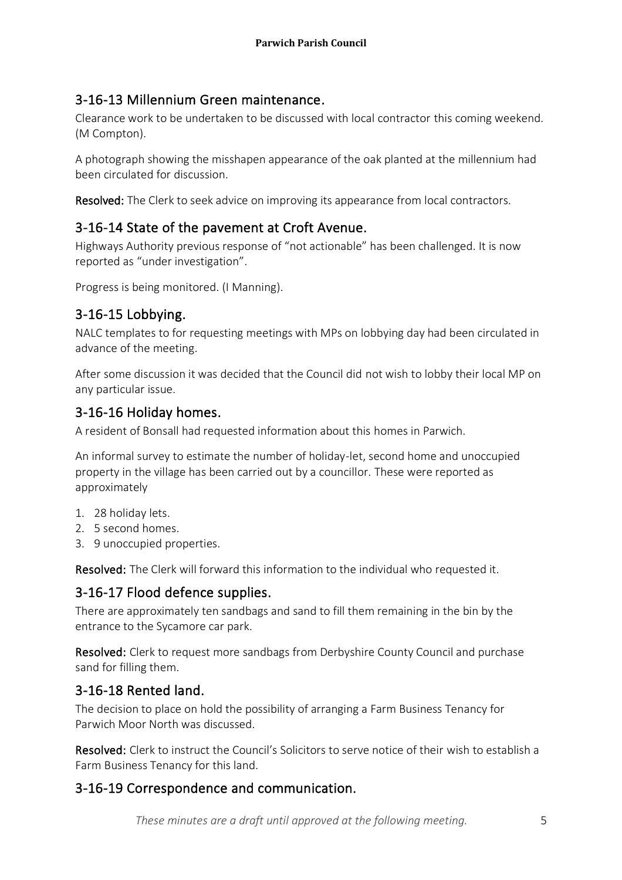## 3-16-13 Millennium Green maintenance.

Clearance work to be undertaken to be discussed with local contractor this coming weekend. (M Compton).

A photograph showing the misshapen appearance of the oak planted at the millennium had been circulated for discussion.

Resolved: The Clerk to seek advice on improving its appearance from local contractors.

## 3-16-14 State of the pavement at Croft Avenue.

Highways Authority previous response of "not actionable" has been challenged. It is now reported as "under investigation".

Progress is being monitored. (I Manning).

## 3-16-15 Lobbying.

NALC templates to for requesting meetings with MPs on lobbying day had been circulated in advance of the meeting.

After some discussion it was decided that the Council did not wish to lobby their local MP on any particular issue.

## 3-16-16 Holiday homes.

A resident of Bonsall had requested information about this homes in Parwich.

An informal survey to estimate the number of holiday-let, second home and unoccupied property in the village has been carried out by a councillor. These were reported as approximately

- 1. 28 holiday lets.
- 2. 5 second homes.
- 3. 9 unoccupied properties.

Resolved: The Clerk will forward this information to the individual who requested it.

## 3-16-17 Flood defence supplies.

There are approximately ten sandbags and sand to fill them remaining in the bin by the entrance to the Sycamore car park.

Resolved: Clerk to request more sandbags from Derbyshire County Council and purchase sand for filling them.

## 3-16-18 Rented land.

The decision to place on hold the possibility of arranging a Farm Business Tenancy for Parwich Moor North was discussed.

Resolved: Clerk to instruct the Council's Solicitors to serve notice of their wish to establish a Farm Business Tenancy for this land.

## 3-16-19 Correspondence and communication.

*These minutes are a draft until approved at the following meeting.* 5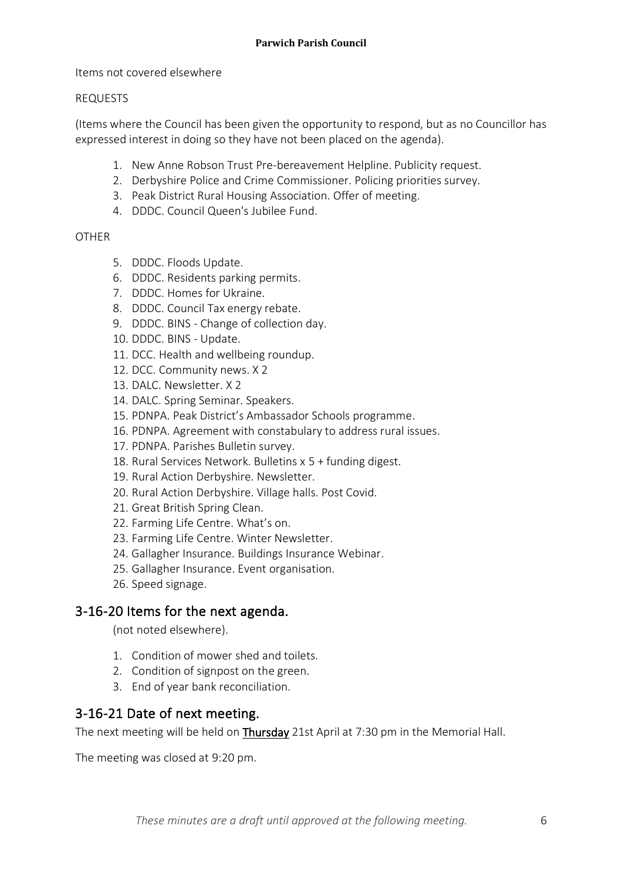#### Items not covered elsewhere

#### REQUESTS

(Items where the Council has been given the opportunity to respond, but as no Councillor has expressed interest in doing so they have not been placed on the agenda).

- 1. New Anne Robson Trust Pre-bereavement Helpline. Publicity request.
- 2. Derbyshire Police and Crime Commissioner. Policing priorities survey.
- 3. Peak District Rural Housing Association. Offer of meeting.
- 4. DDDC. Council Queen's Jubilee Fund.

#### **OTHER**

- 5. DDDC. Floods Update.
- 6. DDDC. Residents parking permits.
- 7. DDDC. Homes for Ukraine.
- 8. DDDC. Council Tax energy rebate.
- 9. DDDC. BINS Change of collection day.
- 10. DDDC. BINS Update.
- 11. DCC. Health and wellbeing roundup.
- 12. DCC. Community news. X 2
- 13. DALC. Newsletter. X 2
- 14. DALC. Spring Seminar. Speakers.
- 15. PDNPA. Peak District's Ambassador Schools programme.
- 16. PDNPA. Agreement with constabulary to address rural issues.
- 17. PDNPA. Parishes Bulletin survey.
- 18. Rural Services Network. Bulletins x 5 + funding digest.
- 19. Rural Action Derbyshire. Newsletter.
- 20. Rural Action Derbyshire. Village halls. Post Covid.
- 21. Great British Spring Clean.
- 22. Farming Life Centre. What's on.
- 23. Farming Life Centre. Winter Newsletter.
- 24. Gallagher Insurance. Buildings Insurance Webinar.
- 25. Gallagher Insurance. Event organisation.
- 26. Speed signage.

#### 3-16-20 Items for the next agenda.

(not noted elsewhere).

- 1. Condition of mower shed and toilets.
- 2. Condition of signpost on the green.
- 3. End of year bank reconciliation.

#### 3-16-21 Date of next meeting.

The next meeting will be held on Thursday 21st April at 7:30 pm in the Memorial Hall.

The meeting was closed at 9:20 pm.